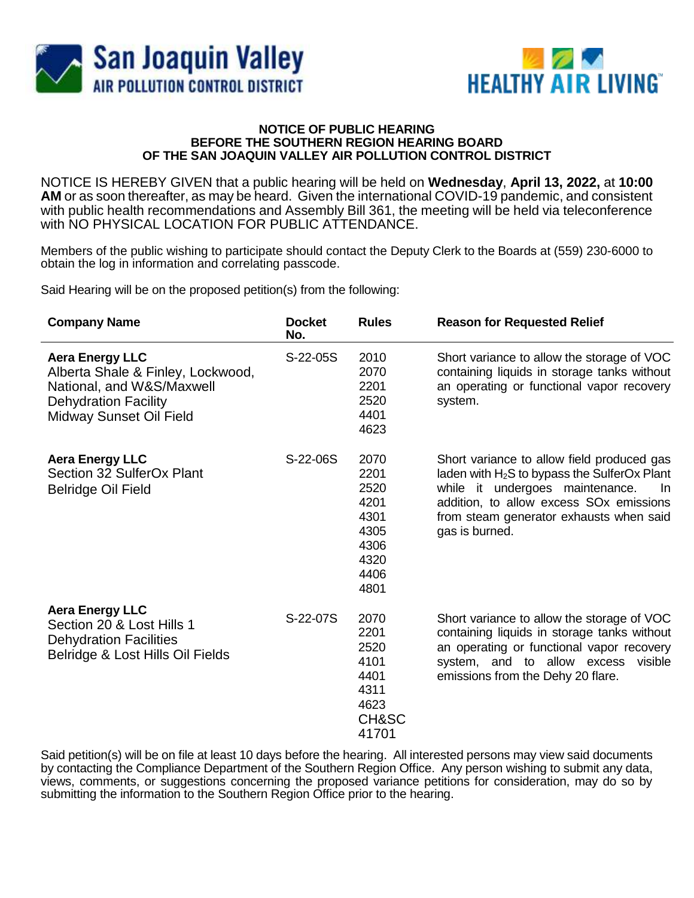



## **NOTICE OF PUBLIC HEARING BEFORE THE SOUTHERN REGION HEARING BOARD OF THE SAN JOAQUIN VALLEY AIR POLLUTION CONTROL DISTRICT**

NOTICE IS HEREBY GIVEN that a public hearing will be held on **Wednesday**, **April 13, 2022,** at **10:00 AM** or as soon thereafter, as may be heard. Given the international COVID-19 pandemic, and consistent with public health recommendations and Assembly Bill 361, the meeting will be held via teleconference with NO PHYSICAL LOCATION FOR PUBLIC ATTENDANCE.

Members of the public wishing to participate should contact the Deputy Clerk to the Boards at (559) 230-6000 to obtain the log in information and correlating passcode.

Said Hearing will be on the proposed petition(s) from the following:

| <b>Company Name</b>                                                                                                                                | <b>Docket</b><br>No. | <b>Rules</b>                                                                 | <b>Reason for Requested Relief</b>                                                                                                                                                                                                                        |
|----------------------------------------------------------------------------------------------------------------------------------------------------|----------------------|------------------------------------------------------------------------------|-----------------------------------------------------------------------------------------------------------------------------------------------------------------------------------------------------------------------------------------------------------|
| <b>Aera Energy LLC</b><br>Alberta Shale & Finley, Lockwood,<br>National, and W&S/Maxwell<br><b>Dehydration Facility</b><br>Midway Sunset Oil Field | S-22-05S             | 2010<br>2070<br>2201<br>2520<br>4401<br>4623                                 | Short variance to allow the storage of VOC<br>containing liquids in storage tanks without<br>an operating or functional vapor recovery<br>system.                                                                                                         |
| <b>Aera Energy LLC</b><br>Section 32 SulferOx Plant<br><b>Belridge Oil Field</b>                                                                   | S-22-06S             | 2070<br>2201<br>2520<br>4201<br>4301<br>4305<br>4306<br>4320<br>4406<br>4801 | Short variance to allow field produced gas<br>laden with $H_2S$ to bypass the SulferOx Plant<br>while it undergoes maintenance.<br>In<br>addition, to allow excess SO <sub>x</sub> emissions<br>from steam generator exhausts when said<br>gas is burned. |
| <b>Aera Energy LLC</b><br>Section 20 & Lost Hills 1<br><b>Dehydration Facilities</b><br>Belridge & Lost Hills Oil Fields                           | S-22-07S             | 2070<br>2201<br>2520<br>4101<br>4401<br>4311<br>4623<br>CH&SC<br>41701       | Short variance to allow the storage of VOC<br>containing liquids in storage tanks without<br>an operating or functional vapor recovery<br>system, and to allow excess<br>visible<br>emissions from the Dehy 20 flare.                                     |

Said petition(s) will be on file at least 10 days before the hearing. All interested persons may view said documents by contacting the Compliance Department of the Southern Region Office. Any person wishing to submit any data, views, comments, or suggestions concerning the proposed variance petitions for consideration, may do so by submitting the information to the Southern Region Office prior to the hearing.